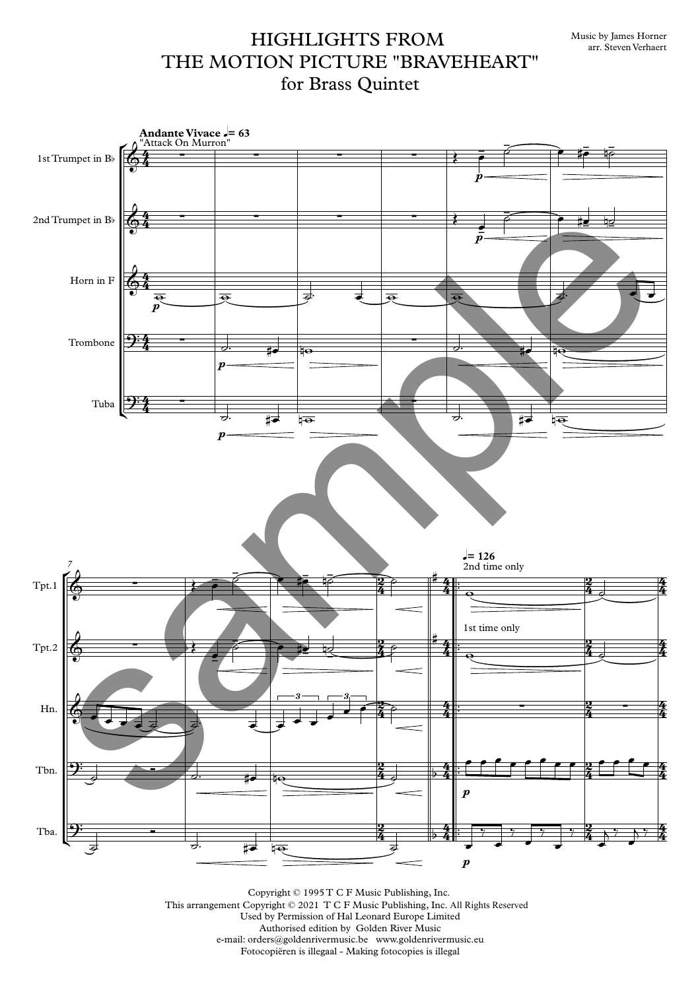## HIGHLIGHTS FROM THE MOTION PICTURE "BRAVEHEART" for Brass Quintet



This arrangement Copyright © 2021 T C F Music Publishing, Inc. All Rights Reserved Used by Permission of Hal Leonard Europe Limited Authorised edition by Golden River Music e-mail: orders@goldenrivermusic.be www.goldenrivermusic.eu Fotocopiëren is illegaal - Making fotocopies is illegal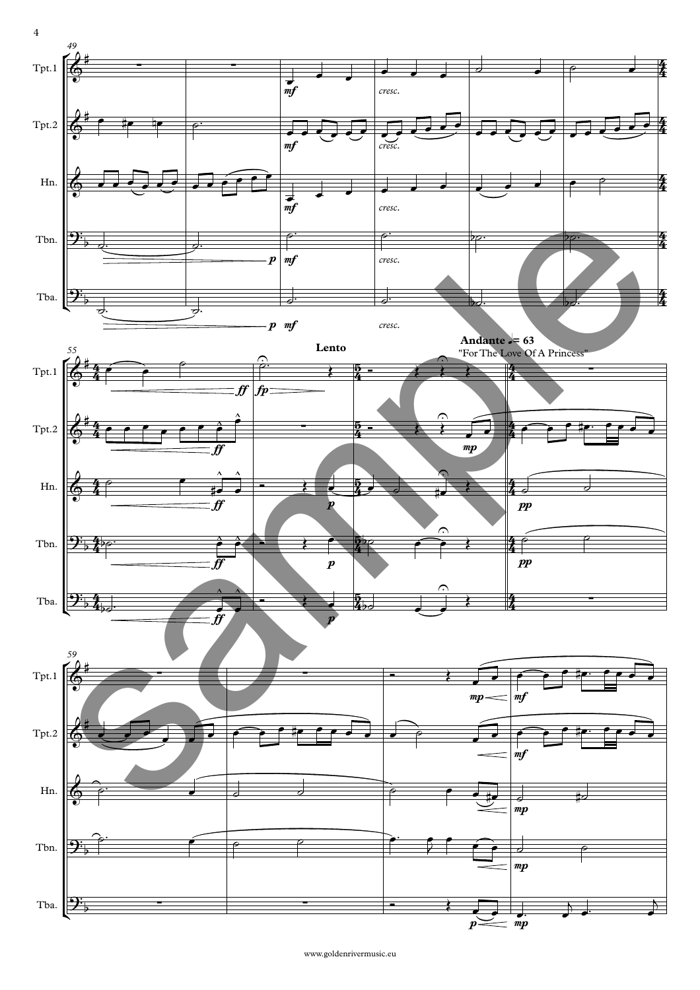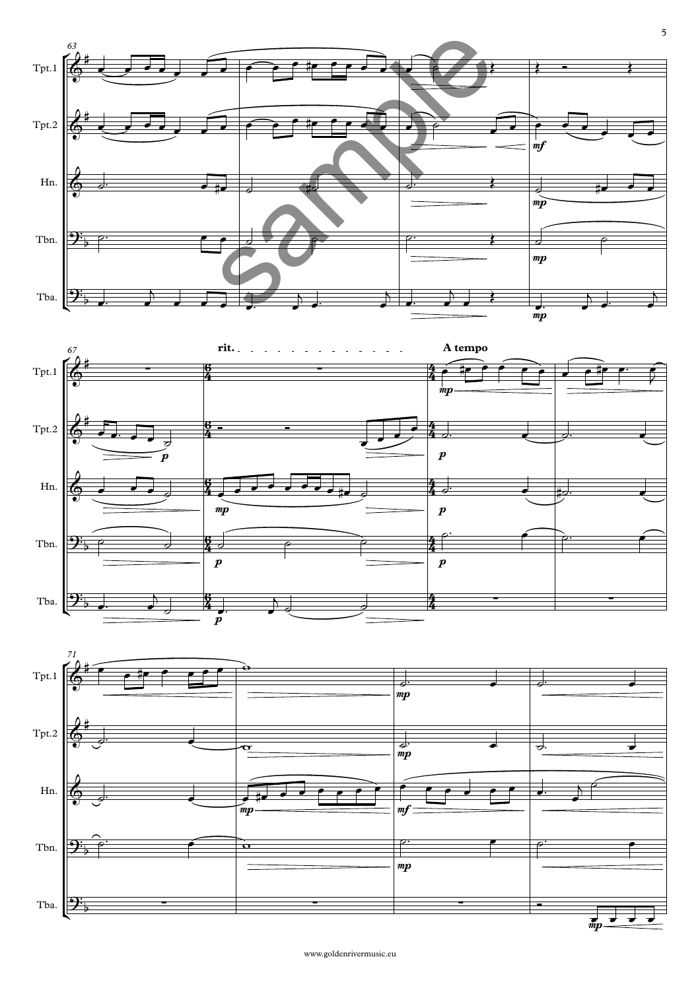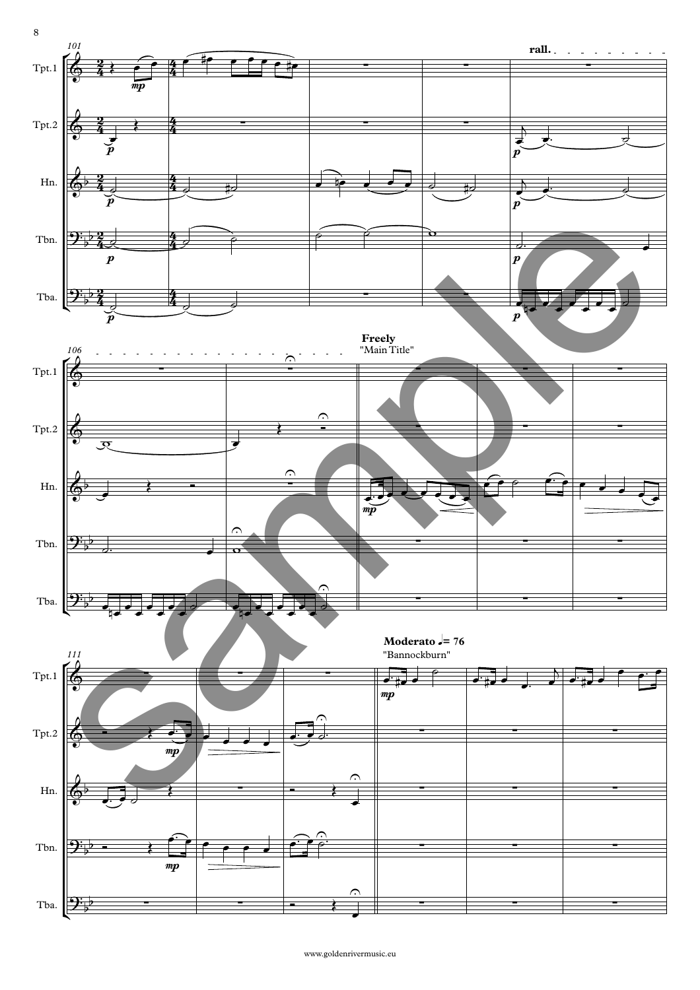